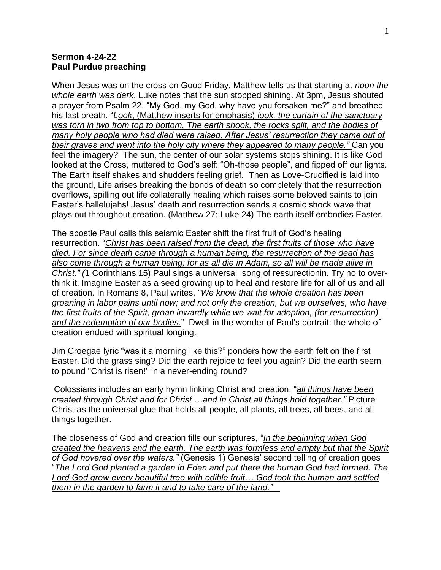## **Sermon 4-24-22 Paul Purdue preaching**

When Jesus was on the cross on Good Friday, Matthew tells us that starting at *noon the whole earth was dark*. Luke notes that the sun stopped shining. At 3pm, Jesus shouted a prayer from Psalm 22, "My God, my God, why have you forsaken me?" and breathed his last breath. "*Look*, (Matthew inserts for emphasis) *look, the curtain of the sanctuary was torn in two from top to bottom. The earth shook, the rocks split, and the bodies of many holy people who had died were raised. After Jesus' resurrection they came out of their graves and went into the holy city where they appeared to many people."* Can you feel the imagery? The sun, the center of our solar systems stops shining. It is like God looked at the Cross, muttered to God's self: "Oh-those people", and fipped off our lights. The Earth itself shakes and shudders feeling grief. Then as Love-Crucified is laid into the ground, Life arises breaking the bonds of death so completely that the resurrection overflows, spilling out life collaterally healing which raises some beloved saints to join Easter's hallelujahs! Jesus' death and resurrection sends a cosmic shock wave that plays out throughout creation. (Matthew 27; Luke 24) The earth itself embodies Easter.

The apostle Paul calls this seismic Easter shift the first fruit of God's healing resurrection. "*Christ has been raised from the dead, the first fruits of those who have died. For since death came through a human being, the resurrection of the dead has also come through a human being; for as all die in Adam, so all will be made alive in Christ." (*1 Corinthians 15) Paul sings a universal song of ressurectionin. Try no to overthink it. Imagine Easter as a seed growing up to heal and restore life for all of us and all of creation. In Romans 8, Paul writes, "*We know that the whole creation has been groaning in labor pains until now; and not only the creation, but we ourselves, who have the first fruits of the Spirit, groan inwardly while we wait for adoption, (for resurrection) and the redemption of our bodies.*" Dwell in the wonder of Paul's portrait: the whole of creation endued with spiritual longing.

Jim Croegae lyric "was it a morning like this?" ponders how the earth felt on the first Easter. Did the grass sing? Did the earth rejoice to feel you again? Did the earth seem to pound "Christ is risen!" in a never-ending round?

Colossians includes an early hymn linking Christ and creation, "*all things have been created through Christ and for Christ …and in Christ all things hold together."* Picture Christ as the universal glue that holds all people, all plants, all trees, all bees, and all things together.

The closeness of God and creation fills our scriptures, "*In the beginning when God created the heavens and the earth. The earth was formless and empty but that the Spirit of God hovered over the waters."* (Genesis 1) Genesis' second telling of creation goes "*The Lord God planted a garden in Eden and put there the human God had formed. The Lord God grew every beautiful tree with edible fruit… God took the human and settled them in the garden to farm it and to take care of the land."*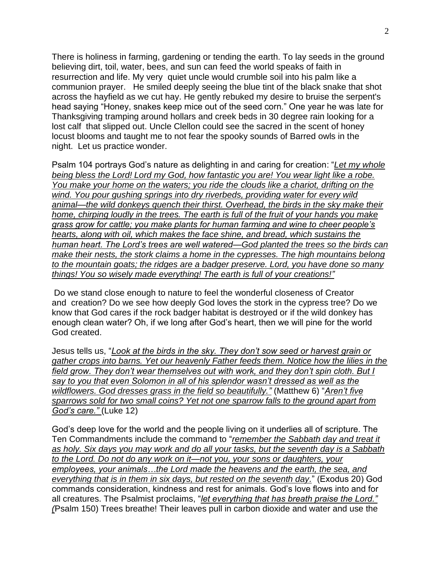There is holiness in farming, gardening or tending the earth. To lay seeds in the ground believing dirt, toil, water, bees, and sun can feed the world speaks of faith in resurrection and life. My very quiet uncle would crumble soil into his palm like a communion prayer. He smiled deeply seeing the blue tint of the black snake that shot across the hayfield as we cut hay. He gently rebuked my desire to bruise the serpent's head saying "Honey, snakes keep mice out of the seed corn." One year he was late for Thanksgiving tramping around hollars and creek beds in 30 degree rain looking for a lost calf that slipped out. Uncle Clellon could see the sacred in the scent of honey locust blooms and taught me to not fear the spooky sounds of Barred owls in the night. Let us practice wonder.

Psalm 104 portrays God's nature as delighting in and caring for creation: "*Let my whole being bless the Lord! Lord my God, how fantastic you are! You wear light like a robe. You make your home on the waters; you ride the clouds like a chariot, drifting on the wind. You pour gushing springs into dry riverbeds, providing water for every wild animal—the wild donkeys quench their thirst. Overhead, the birds in the sky make their home, chirping loudly in the trees. The earth is full of the fruit of your hands you make grass grow for cattle; you make plants for human farming and wine to cheer people's hearts, along with oil, which makes the face shine, and bread, which sustains the human heart. The Lord's trees are well watered—God planted the trees so the birds can make their nests, the stork claims a home in the cypresses. The high mountains belong to the mountain goats; the ridges are a badger preserve. Lord, you have done so many things! You so wisely made everything! The earth is full of your creations!"*

Do we stand close enough to nature to feel the wonderful closeness of Creator and creation? Do we see how deeply God loves the stork in the cypress tree? Do we know that God cares if the rock badger habitat is destroyed or if the wild donkey has enough clean water? Oh, if we long after God's heart, then we will pine for the world God created.

Jesus tells us, "*Look at the birds in the sky. They don't sow seed or harvest grain or gather crops into barns. Yet our heavenly Father feeds them. Notice how the lilies in the field grow. They don't wear themselves out with work, and they don't spin cloth. But I say to you that even Solomon in all of his splendor wasn't dressed as well as the wildflowers. God dresses grass in the field so beautifully."* (Matthew 6) "*Aren't five sparrows sold for two small coins? Yet not one sparrow falls to the ground apart from God's care."* (Luke 12)

God's deep love for the world and the people living on it underlies all of scripture. The Ten Commandments include the command to "*remember the Sabbath day and treat it as holy. Six days you may work and do all your tasks, but the seventh day is a Sabbath to the Lord. Do not do any work on it—not you, your sons or daughters, your employees, your animals…the Lord made the heavens and the earth, the sea, and everything that is in them in six days, but rested on the seventh day.*" (Exodus 20) God commands consideration, kindness and rest for animals. God's love flows into and for all creatures. The Psalmist proclaims, "*let everything that has breath praise the Lord." (*Psalm 150) Trees breathe! Their leaves pull in carbon dioxide and water and use the